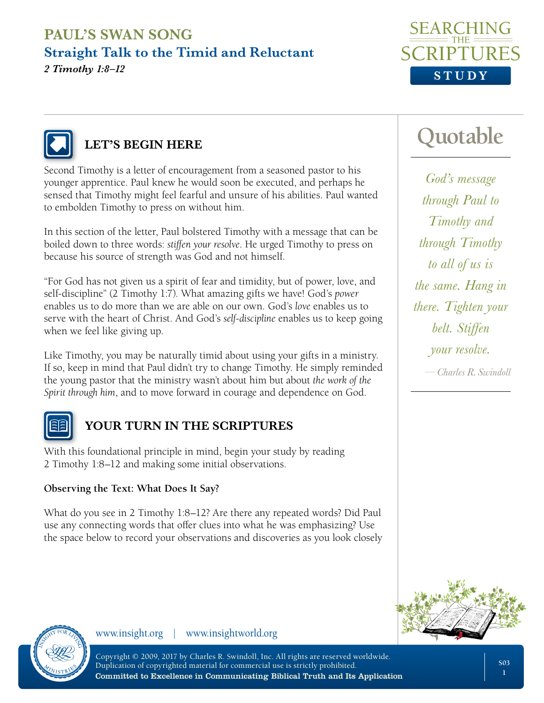



# **LET'S BEGIN HERE**

Second Timothy is a letter of encouragement from a seasoned pastor to his younger apprentice. Paul knew he would soon be executed, and perhaps he sensed that Timothy might feel fearful and unsure of his abilities. Paul wanted to embolden Timothy to press on without him.

In this section of the letter, Paul bolstered Timothy with a message that can be boiled down to three words: *stiffen your resolve*. He urged Timothy to press on because his source of strength was God and not himself.

"For God has not given us a spirit of fear and timidity, but of power, love, and self-discipline" (2 Timothy 1:7). What amazing gifts we have! God's *power* enables us to do more than we are able on our own. God's *love* enables us to serve with the heart of Christ. And God's *self-discipline* enables us to keep going when we feel like giving up.

Like Timothy, you may be naturally timid about using your gifts in a ministry. If so, keep in mind that Paul didn't try to change Timothy. He simply reminded the young pastor that the ministry wasn't about him but about *the work of the Spirit through him*, and to move forward in courage and dependence on God.



### **YOUR TURN IN THE SCRIPTURES**

With this foundational principle in mind, begin your study by reading 2 Timothy 1:8–12 and making some initial observations.

#### **Observing the Text: What Does It Say?**

What do you see in 2 Timothy 1:8–12? Are there any repeated words? Did Paul use any connecting words that offer clues into what he was emphasizing? Use the space below to record your observations and discoveries as you look closely

# **Quotable**

*God's message through Paul to Timothy and through Timothy to all of us is the same. Hang in there. Tighten your belt. Stiffen your resolve.* 

*—Charles R. Swindoll*



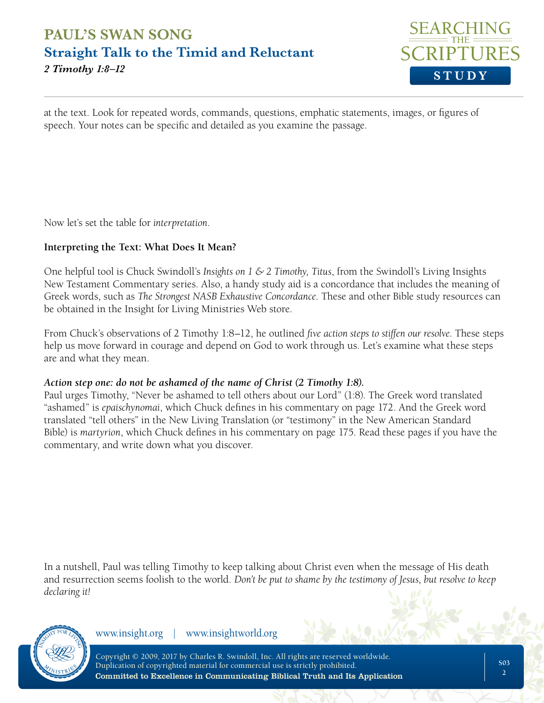

at the text. Look for repeated words, commands, questions, emphatic statements, images, or figures of speech. Your notes can be specific and detailed as you examine the passage.

Now let's set the table for *interpretation*.

#### **Interpreting the Text: What Does It Mean?**

One helpful tool is Chuck Swindoll's *Insights on 1 & 2 Timothy, Titus*, from the Swindoll's Living Insights New Testament Commentary series. Also, a handy study aid is a concordance that includes the meaning of Greek words, such as *The Strongest NASB Exhaustive Concordance*. These and other Bible study resources can be obtained in the Insight for Living Ministries Web store.

From Chuck's observations of 2 Timothy 1:8–12, he outlined *five action steps to stiffen our resolve*. These steps help us move forward in courage and depend on God to work through us. Let's examine what these steps are and what they mean.

#### *Action step one: do not be ashamed of the name of Christ (2 Timothy 1:8).*

Paul urges Timothy, "Never be ashamed to tell others about our Lord" (1:8). The Greek word translated "ashamed" is *epaischynomai*, which Chuck defines in his commentary on page 172. And the Greek word translated "tell others" in the New Living Translation (or "testimony" in the New American Standard Bible) is *martyrion*, which Chuck defines in his commentary on page 175. Read these pages if you have the commentary, and write down what you discover.

In a nutshell, Paul was telling Timothy to keep talking about Christ even when the message of His death and resurrection seems foolish to the world. *Don't be put to shame by the testimony of Jesus, but resolve to keep declaring it!*



www.insight.org | www.insightworld.org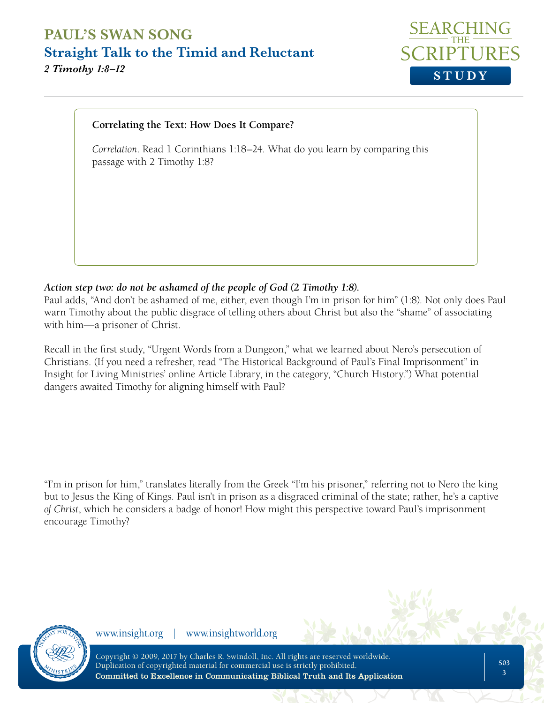

#### **Correlating the Text: How Does It Compare?**

*Correlation*. Read 1 Corinthians 1:18–24. What do you learn by comparing this passage with 2 Timothy 1:8?

#### *Action step two: do not be ashamed of the people of God (2 Timothy 1:8).*

Paul adds, "And don't be ashamed of me, either, even though I'm in prison for him" (1:8). Not only does Paul warn Timothy about the public disgrace of telling others about Christ but also the "shame" of associating with him—a prisoner of Christ.

Recall in the first study, "Urgent Words from a Dungeon," what we learned about Nero's persecution of Christians. (If you need a refresher, read "The Historical Background of Paul's Final Imprisonment" in Insight for Living Ministries' online Article Library, in the category, "Church History.") What potential dangers awaited Timothy for aligning himself with Paul?

"I'm in prison for him," translates literally from the Greek "I'm his prisoner," referring not to Nero the king but to Jesus the King of Kings. Paul isn't in prison as a disgraced criminal of the state; rather, he's a captive *of Christ*, which he considers a badge of honor! How might this perspective toward Paul's imprisonment encourage Timothy?



www.insight.org | www.insightworld.org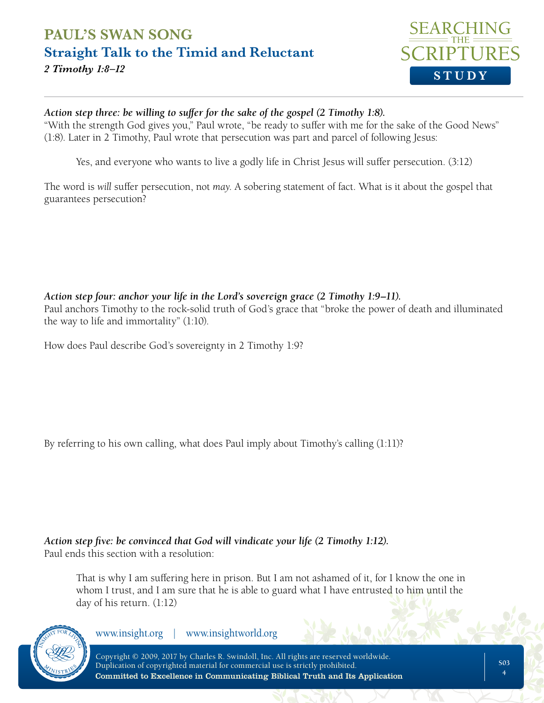

#### *Action step three: be willing to suffer for the sake of the gospel (2 Timothy 1:8).*

"With the strength God gives you," Paul wrote, "be ready to suffer with me for the sake of the Good News" (1:8). Later in 2 Timothy, Paul wrote that persecution was part and parcel of following Jesus:

Yes, and everyone who wants to live a godly life in Christ Jesus will suffer persecution. (3:12)

The word is *will* suffer persecution, not *may*. A sobering statement of fact. What is it about the gospel that guarantees persecution?

#### *Action step four: anchor your life in the Lord's sovereign grace (2 Timothy 1:9–11).*

Paul anchors Timothy to the rock-solid truth of God's grace that "broke the power of death and illuminated the way to life and immortality" (1:10).

How does Paul describe God's sovereignty in 2 Timothy 1:9?

By referring to his own calling, what does Paul imply about Timothy's calling (1:11)?

#### *Action step five: be convinced that God will vindicate your life (2 Timothy 1:12).* Paul ends this section with a resolution:

That is why I am suffering here in prison. But I am not ashamed of it, for I know the one in whom I trust, and I am sure that he is able to guard what I have entrusted to him until the day of his return. (1:12)



www.insight.org | www.insightworld.org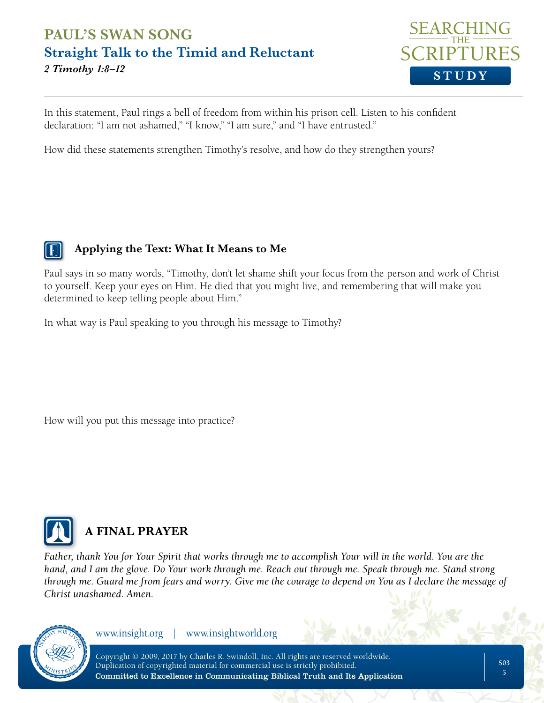

In this statement, Paul rings a bell of freedom from within his prison cell. Listen to his confident declaration: "I am not ashamed," "I know," "I am sure," and "I have entrusted."

How did these statements strengthen Timothy's resolve, and how do they strengthen yours?

#### **Applying the Text: What It Means to Me**

Paul says in so many words, "Timothy, don't let shame shift your focus from the person and work of Christ to yourself. Keep your eyes on Him. He died that you might live, and remembering that will make you determined to keep telling people about Him."

In what way is Paul speaking to you through his message to Timothy?

How will you put this message into practice?



# **A FINAL PRAYER**

*Father, thank You for Your Spirit that works through me to accomplish Your will in the world. You are the hand, and I am the glove. Do Your work through me. Reach out through me. Speak through me. Stand strong through me. Guard me from fears and worry. Give me the courage to depend on You as I declare the message of Christ unashamed. Amen.*



www.insight.org | www.insightworld.org